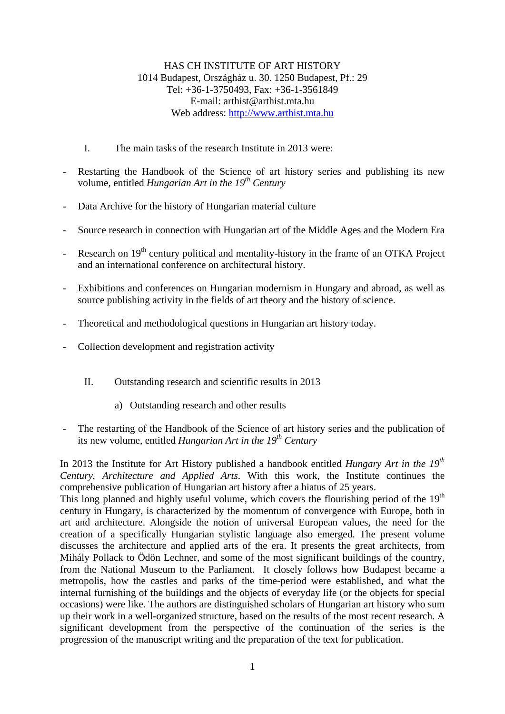## HAS CH INSTITUTE OF ART HISTORY 1014 Budapest, Országház u. 30. 1250 Budapest, Pf.: 29 Tel: +36-1-3750493, Fax: +36-1-3561849 E-mail:  $arthist@arthist$  mta.hu Web address: [http://www.arthist.mta.hu](http://www.arthist.mta.hu/)

- I. The main tasks of the research Institute in 2013 were:
- Restarting the Handbook of the Science of art history series and publishing its new volume, entitled *Hungarian Art in the 19th Century*
- Data Archive for the history of Hungarian material culture
- Source research in connection with Hungarian art of the Middle Ages and the Modern Era
- Research on 19<sup>th</sup> century political and mentality-history in the frame of an OTKA Project and an international conference on architectural history.
- Exhibitions and conferences on Hungarian modernism in Hungary and abroad, as well as source publishing activity in the fields of art theory and the history of science.
- Theoretical and methodological questions in Hungarian art history today.
- Collection development and registration activity
	- II. Outstanding research and scientific results in 2013
		- a) Outstanding research and other results
- The restarting of the Handbook of the Science of art history series and the publication of its new volume, entitled *Hungarian Art in the 19<sup>th</sup> Century*

In 2013 the Institute for Art History published a handbook entitled *Hungary Art in the 19th Century. Architecture and Applied Arts*. With this work, the Institute continues the comprehensive publication of Hungarian art history after a hiatus of 25 years.

This long planned and highly useful volume, which covers the flourishing period of the  $19<sup>th</sup>$ century in Hungary, is characterized by the momentum of convergence with Europe, both in art and architecture. Alongside the notion of universal European values, the need for the creation of a specifically Hungarian stylistic language also emerged. The present volume discusses the architecture and applied arts of the era. It presents the great architects, from Mihály Pollack to Ödön Lechner, and some of the most significant buildings of the country, from the National Museum to the Parliament. It closely follows how Budapest became a metropolis, how the castles and parks of the time-period were established, and what the internal furnishing of the buildings and the objects of everyday life (or the objects for special occasions) were like. The authors are distinguished scholars of Hungarian art history who sum up their work in a well-organized structure, based on the results of the most recent research. A significant development from the perspective of the continuation of the series is the progression of the manuscript writing and the preparation of the text for publication.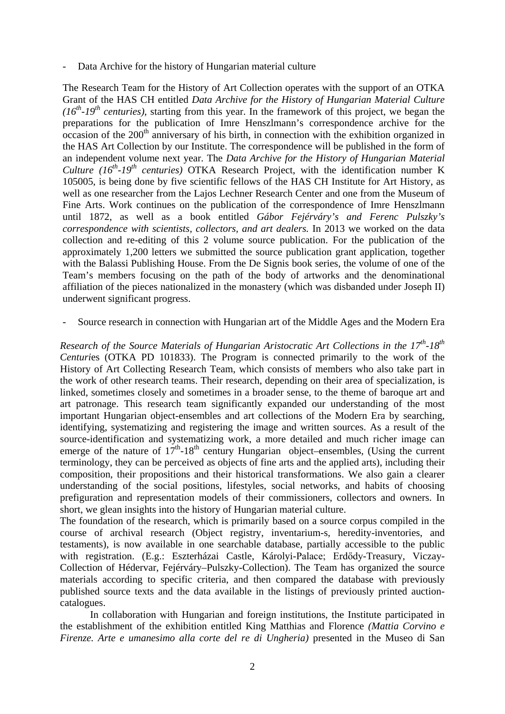Data Archive for the history of Hungarian material culture

The Research Team for the History of Art Collection operates with the support of an OTKA Grant of the HAS CH entitled *Data Archive for the History of Hungarian Material Culture*   $(16^{th}-19^{th}$  *centuries*), starting from this year. In the framework of this project, we began the preparations for the publication of Imre Henszlmann's correspondence archive for the occasion of the  $200<sup>th</sup>$  anniversary of his birth, in connection with the exhibition organized in the HAS Art Collection by our Institute. The correspondence will be published in the form of an independent volume next year. The *Data Archive for the History of Hungarian Material Culture (16<sup>th</sup>-19<sup>th</sup> centuries)* OTKA Research Project, with the identification number K 105005, is being done by five scientific fellows of the HAS CH Institute for Art History, as well as one researcher from the Lajos Lechner Research Center and one from the Museum of Fine Arts. Work continues on the publication of the correspondence of Imre Henszlmann until 1872, as well as a book entitled *Gábor Fejérváry's and Ferenc Pulszky's correspondence with scientists, collectors, and art dealers.* In 2013 we worked on the data collection and re-editing of this 2 volume source publication. For the publication of the approximately 1,200 letters we submitted the source publication grant application, together with the Balassi Publishing House. From the De Signis book series, the volume of one of the Team's members focusing on the path of the body of artworks and the denominational affiliation of the pieces nationalized in the monastery (which was disbanded under Joseph II) underwent significant progress.

Source research in connection with Hungarian art of the Middle Ages and the Modern Era

*Research of the Source Materials of Hungarian Aristocratic Art Collections in the 17th-18th Centuri*es (OTKA PD 101833). The Program is connected primarily to the work of the History of Art Collecting Research Team, which consists of members who also take part in the work of other research teams. Their research, depending on their area of specialization, is linked, sometimes closely and sometimes in a broader sense, to the theme of baroque art and art patronage. This research team significantly expanded our understanding of the most important Hungarian object-ensembles and art collections of the Modern Era by searching, identifying, systematizing and registering the image and written sources. As a result of the source-identification and systematizing work, a more detailed and much richer image can emerge of the nature of  $17<sup>th</sup>$ -18<sup>th</sup> century Hungarian object–ensembles, (Using the current terminology, they can be perceived as objects of fine arts and the applied arts), including their composition, their propositions and their historical transformations. We also gain a clearer understanding of the social positions, lifestyles, social networks, and habits of choosing prefiguration and representation models of their commissioners, collectors and owners. In short, we glean insights into the history of Hungarian material culture.

The foundation of the research, which is primarily based on a source corpus compiled in the course of archival research (Object registry, inventarium-s, heredity-inventories, and testaments), is now available in one searchable database, partially accessible to the public with registration. (E.g.: Eszterházai Castle, Károlyi-Palace; Erdődy-Treasury, Viczay-Collection of Hédervar, Fejérváry–Pulszky-Collection). The Team has organized the source materials according to specific criteria, and then compared the database with previously published source texts and the data available in the listings of previously printed auctioncatalogues.

In collaboration with Hungarian and foreign institutions, the Institute participated in the establishment of the exhibition entitled King Matthias and Florence *(Mattia Corvino e Firenze. Arte e umanesimo alla corte del re di Ungheria*) presented in the Museo di San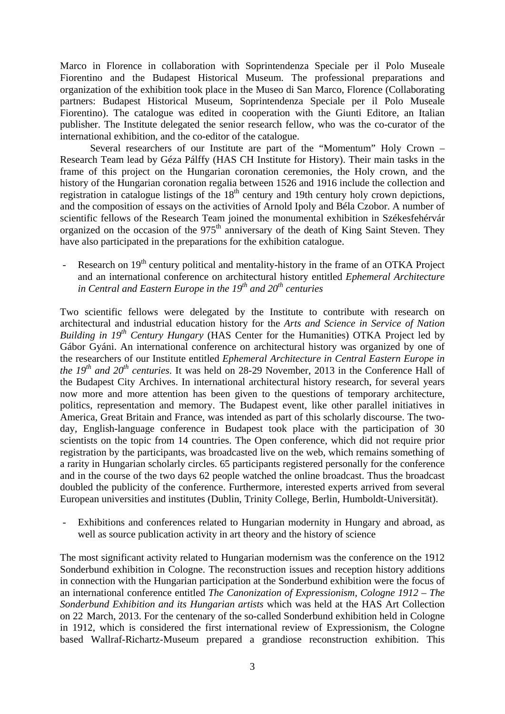Marco in Florence in collaboration with Soprintendenza Speciale per il Polo Museale Fiorentino and the Budapest Historical Museum. The professional preparations and organization of the exhibition took place in the Museo di San Marco, Florence (Collaborating partners: Budapest Historical Museum, Soprintendenza Speciale per il Polo Museale Fiorentino). The catalogue was edited in cooperation with the Giunti Editore, an Italian publisher. The Institute delegated the senior research fellow, who was the co-curator of the international exhibition, and the co-editor of the catalogue.

Several researchers of our Institute are part of the "Momentum" Holy Crown – Research Team lead by Géza Pálffy (HAS CH Institute for History). Their main tasks in the frame of this project on the Hungarian coronation ceremonies, the Holy crown, and the history of the Hungarian coronation regalia between 1526 and 1916 include the collection and registration in catalogue listings of the 18<sup>th</sup> century and 19th century holy crown depictions, and the composition of essays on the activities of Arnold Ipoly and Béla Czobor. A number of scientific fellows of the Research Team joined the monumental exhibition in Székesfehérvár organized on the occasion of the  $975<sup>th</sup>$  anniversary of the death of King Saint Steven. They have also participated in the preparations for the exhibition catalogue.

Research on 19<sup>th</sup> century political and mentality-history in the frame of an OTKA Project and an international conference on architectural history entitled *Ephemeral Architecture in Central and Eastern Europe in the 19th and 20th centuries*

Two scientific fellows were delegated by the Institute to contribute with research on architectural and industrial education history for the *Arts and Science in Service of Nation Building in 19<sup>th</sup> Century Hungary* (HAS Center for the Humanities) OTKA Project led by Gábor Gyáni. An international conference on architectural history was organized by one of the researchers of our Institute entitled *Ephemeral Architecture in Central Eastern Europe in the 19th and 20th centuries*. It was held on 28-29 November, 2013 in the Conference Hall of the Budapest City Archives. In international architectural history research, for several years now more and more attention has been given to the questions of temporary architecture, politics, representation and memory. The Budapest event, like other parallel initiatives in America, Great Britain and France, was intended as part of this scholarly discourse. The twoday, English-language conference in Budapest took place with the participation of 30 scientists on the topic from 14 countries. The Open conference, which did not require prior registration by the participants, was broadcasted live on the web, which remains something of a rarity in Hungarian scholarly circles. 65 participants registered personally for the conference and in the course of the two days 62 people watched the online broadcast. Thus the broadcast doubled the publicity of the conference. Furthermore, interested experts arrived from several European universities and institutes (Dublin, Trinity College, Berlin, Humboldt-Universität).

Exhibitions and conferences related to Hungarian modernity in Hungary and abroad, as well as source publication activity in art theory and the history of science

The most significant activity related to Hungarian modernism was the conference on the 1912 Sonderbund exhibition in Cologne. The reconstruction issues and reception history additions in connection with the Hungarian participation at the Sonderbund exhibition were the focus of an international conference entitled *The Canonization of Expressionism, Cologne 1912 – The Sonderbund Exhibition and its Hungarian artists* which was held at the HAS Art Collection on 22 March, 2013. For the centenary of the so-called Sonderbund exhibition held in Cologne in 1912, which is considered the first international review of Expressionism, the Cologne based Wallraf-Richartz-Museum prepared a grandiose reconstruction exhibition. This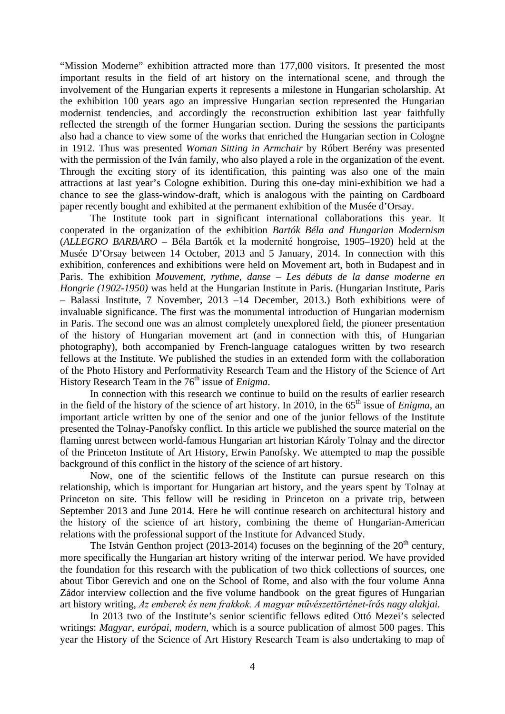"Mission Moderne" exhibition attracted more than 177,000 visitors. It presented the most important results in the field of art history on the international scene, and through the involvement of the Hungarian experts it represents a milestone in Hungarian scholarship. At the exhibition 100 years ago an impressive Hungarian section represented the Hungarian modernist tendencies, and accordingly the reconstruction exhibition last year faithfully reflected the strength of the former Hungarian section. During the sessions the participants also had a chance to view some of the works that enriched the Hungarian section in Cologne in 1912. Thus was presented *Woman Sitting in Armchair* by Róbert Berény was presented with the permission of the Iván family, who also played a role in the organization of the event. Through the exciting story of its identification, this painting was also one of the main attractions at last year's Cologne exhibition. During this one-day mini-exhibition we had a chance to see the glass-window-draft, which is analogous with the painting on Cardboard paper recently bought and exhibited at the permanent exhibition of the Musée d'Orsay.

The Institute took part in significant international collaborations this year. It cooperated in the organization of the exhibition *Bartók Béla and Hungarian Modernism* (*ALLEGRO BARBARO* – Béla Bartók et la modernité hongroise, 1905–1920) held at the Musée D'Orsay between 14 October, 2013 and 5 January, 2014. In connection with this exhibition, conferences and exhibitions were held on Movement art, both in Budapest and in Paris. The exhibition *Mouvement, rythme, danse – Les débuts de la danse moderne en Hongrie (1902-1950)* was held at the Hungarian Institute in Paris. (Hungarian Institute, Paris – Balassi Institute, 7 November, 2013 –14 December, 2013.) Both exhibitions were of invaluable significance. The first was the monumental introduction of Hungarian modernism in Paris. The second one was an almost completely unexplored field, the pioneer presentation of the history of Hungarian movement art (and in connection with this, of Hungarian photography), both accompanied by French-language catalogues written by two research fellows at the Institute. We published the studies in an extended form with the collaboration of the Photo History and Performativity Research Team and the History of the Science of Art History Research Team in the 76<sup>th</sup> issue of *Enigma*.

In connection with this research we continue to build on the results of earlier research in the field of the history of the science of art history. In 2010, in the 65<sup>th</sup> issue of *Enigma*, an important article written by one of the senior and one of the junior fellows of the Institute presented the Tolnay-Panofsky conflict. In this article we published the source material on the flaming unrest between world-famous Hungarian art historian Károly Tolnay and the director of the Princeton Institute of Art History, Erwin Panofsky. We attempted to map the possible background of this conflict in the history of the science of art history.

Now, one of the scientific fellows of the Institute can pursue research on this relationship, which is important for Hungarian art history, and the years spent by Tolnay at Princeton on site. This fellow will be residing in Princeton on a private trip, between September 2013 and June 2014. Here he will continue research on architectural history and the history of the science of art history, combining the theme of Hungarian-American relations with the professional support of the Institute for Advanced Study.

The István Genthon project (2013-2014) focuses on the beginning of the  $20<sup>th</sup>$  century, more specifically the Hungarian art history writing of the interwar period. We have provided the foundation for this research with the publication of two thick collections of sources, one about Tibor Gerevich and one on the School of Rome, and also with the four volume Anna Zádor interview collection and the five volume handbook on the great figures of Hungarian art history writing, *Az emberek és nem frakkok. A magyar művészettörténet-írás nagy alakjai.*

In 2013 two of the Institute's senior scientific fellows edited Ottó Mezei's selected writings: *Magyar, európai, modern,* which is a source publication of almost 500 pages. This year the History of the Science of Art History Research Team is also undertaking to map of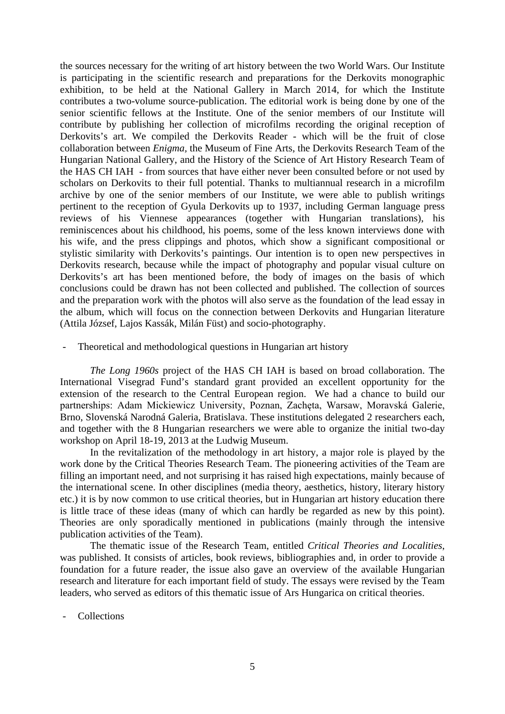the sources necessary for the writing of art history between the two World Wars. Our Institute is participating in the scientific research and preparations for the Derkovits monographic exhibition, to be held at the National Gallery in March 2014, for which the Institute contributes a two-volume source-publication. The editorial work is being done by one of the senior scientific fellows at the Institute. One of the senior members of our Institute will contribute by publishing her collection of microfilms recording the original reception of Derkovits's art. We compiled the Derkovits Reader - which will be the fruit of close collaboration between *Enigma,* the Museum of Fine Arts, the Derkovits Research Team of the Hungarian National Gallery, and the History of the Science of Art History Research Team of the HAS CH IAH - from sources that have either never been consulted before or not used by scholars on Derkovits to their full potential. Thanks to multiannual research in a microfilm archive by one of the senior members of our Institute, we were able to publish writings pertinent to the reception of Gyula Derkovits up to 1937, including German language press reviews of his Viennese appearances (together with Hungarian translations), his reminiscences about his childhood, his poems, some of the less known interviews done with his wife, and the press clippings and photos, which show a significant compositional or stylistic similarity with Derkovits's paintings. Our intention is to open new perspectives in Derkovits research, because while the impact of photography and popular visual culture on Derkovits's art has been mentioned before, the body of images on the basis of which conclusions could be drawn has not been collected and published. The collection of sources and the preparation work with the photos will also serve as the foundation of the lead essay in the album, which will focus on the connection between Derkovits and Hungarian literature (Attila József, Lajos Kassák, Milán Füst) and socio-photography.

## - Theoretical and methodological questions in Hungarian art history

*The Long 1960s* project of the HAS CH IAH is based on broad collaboration. The International Visegrad Fund's standard grant provided an excellent opportunity for the extension of the research to the Central European region. We had a chance to build our partnerships: Adam Mickiewicz University, Poznan, Zachęta, Warsaw, Moravská Galerie, Brno, Slovenská Narodná Galeria, Bratislava. These institutions delegated 2 researchers each, and together with the 8 Hungarian researchers we were able to organize the initial two-day workshop on April 18-19, 2013 at the Ludwig Museum.

In the revitalization of the methodology in art history, a major role is played by the work done by the Critical Theories Research Team. The pioneering activities of the Team are filling an important need, and not surprising it has raised high expectations, mainly because of the international scene. In other disciplines (media theory, aesthetics, history, literary history etc.) it is by now common to use critical theories, but in Hungarian art history education there is little trace of these ideas (many of which can hardly be regarded as new by this point). Theories are only sporadically mentioned in publications (mainly through the intensive publication activities of the Team).

The thematic issue of the Research Team, entitled *Critical Theories and Localities*, was published. It consists of articles, book reviews, bibliographies and, in order to provide a foundation for a future reader, the issue also gave an overview of the available Hungarian research and literature for each important field of study. The essays were revised by the Team leaders, who served as editors of this thematic issue of Ars Hungarica on critical theories.

Collections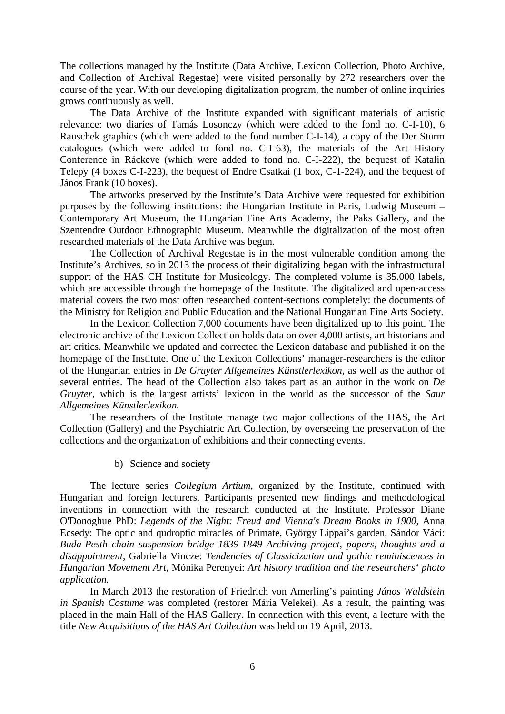The collections managed by the Institute (Data Archive, Lexicon Collection, Photo Archive, and Collection of Archival Regestae) were visited personally by 272 researchers over the course of the year. With our developing digitalization program, the number of online inquiries grows continuously as well.

The Data Archive of the Institute expanded with significant materials of artistic relevance: two diaries of Tamás Losonczy (which were added to the fond no. C-I-10), 6 Rauschek graphics (which were added to the fond number C-I-14), a copy of the Der Sturm catalogues (which were added to fond no. C-I-63), the materials of the Art History Conference in Ráckeve (which were added to fond no. C-I-222), the bequest of Katalin Telepy (4 boxes C-I-223), the bequest of Endre Csatkai (1 box, C-1-224), and the bequest of János Frank (10 boxes).

The artworks preserved by the Institute's Data Archive were requested for exhibition purposes by the following institutions: the Hungarian Institute in Paris, Ludwig Museum – Contemporary Art Museum, the Hungarian Fine Arts Academy, the Paks Gallery, and the Szentendre Outdoor Ethnographic Museum. Meanwhile the digitalization of the most often researched materials of the Data Archive was begun.

The Collection of Archival Regestae is in the most vulnerable condition among the Institute's Archives, so in 2013 the process of their digitalizing began with the infrastructural support of the HAS CH Institute for Musicology. The completed volume is 35.000 labels, which are accessible through the homepage of the Institute. The digitalized and open-access material covers the two most often researched content-sections completely: the documents of the Ministry for Religion and Public Education and the National Hungarian Fine Arts Society.

In the Lexicon Collection 7,000 documents have been digitalized up to this point. The electronic archive of the Lexicon Collection holds data on over 4,000 artists, art historians and art critics. Meanwhile we updated and corrected the Lexicon database and published it on the homepage of the Institute. One of the Lexicon Collections' manager-researchers is the editor of the Hungarian entries in *De Gruyter Allgemeines Künstlerlexikon,* as well as the author of several entries. The head of the Collection also takes part as an author in the work on *De Gruyter,* which is the largest artists' lexicon in the world as the successor of the *Saur Allgemeines Künstlerlexikon.*

The researchers of the Institute manage two major collections of the HAS, the Art Collection (Gallery) and the Psychiatric Art Collection, by overseeing the preservation of the collections and the organization of exhibitions and their connecting events.

b) Science and society

The lecture series *Collegium Artium*, organized by the Institute, continued with Hungarian and foreign lecturers. Participants presented new findings and methodological inventions in connection with the research conducted at the Institute. Professor Diane O'Donoghue PhD: *Legends of the Night: Freud and Vienna's Dream Books in 1900*, Anna Ecsedy: The optic and qudroptic miracles of Primate, György Lippai's garden, Sándor Váci: *Buda-Pesth chain suspension bridge 1839-1849 Archiving project, papers, thoughts and a disappointment,* Gabriella Vincze: *Tendencies of Classicization and gothic reminiscences in Hungarian Movement Art,* Mónika Perenyei: *Art history tradition and the researchers' photo application.*

In March 2013 the restoration of Friedrich von Amerling's painting *János Waldstein in Spanish Costume* was completed (restorer Mária Velekei). As a result, the painting was placed in the main Hall of the HAS Gallery. In connection with this event, a lecture with the title *New Acquisitions of the HAS Art Collection* was held on 19 April, 2013.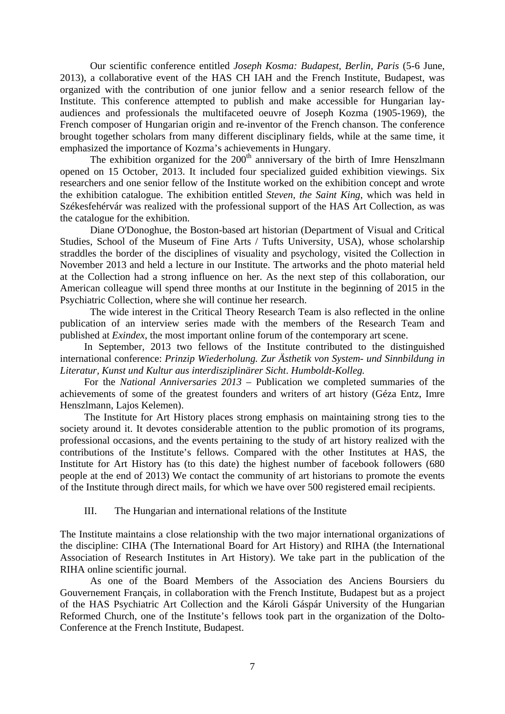Our scientific conference entitled *Joseph Kosma: Budapest, Berlin, Paris* (5-6 June, 2013), a collaborative event of the HAS CH IAH and the French Institute, Budapest, was organized with the contribution of one junior fellow and a senior research fellow of the Institute. This conference attempted to publish and make accessible for Hungarian layaudiences and professionals the multifaceted oeuvre of Joseph Kozma (1905-1969), the French composer of Hungarian origin and re-inventor of the French chanson. The conference brought together scholars from many different disciplinary fields, while at the same time, it emphasized the importance of Kozma's achievements in Hungary.

The exhibition organized for the  $200<sup>th</sup>$  anniversary of the birth of Imre Henszlmann opened on 15 October, 2013. It included four specialized guided exhibition viewings. Six researchers and one senior fellow of the Institute worked on the exhibition concept and wrote the exhibition catalogue. The exhibition entitled *Steven, the Saint King*, which was held in Székesfehérvár was realized with the professional support of the HAS Art Collection, as was the catalogue for the exhibition.

Diane O'Donoghue, the Boston-based art historian (Department of Visual and Critical Studies, School of the Museum of Fine Arts / Tufts University, USA), whose scholarship straddles the border of the disciplines of visuality and psychology, visited the Collection in November 2013 and held a lecture in our Institute. The artworks and the photo material held at the Collection had a strong influence on her. As the next step of this collaboration, our American colleague will spend three months at our Institute in the beginning of 2015 in the Psychiatric Collection, where she will continue her research.

The wide interest in the Critical Theory Research Team is also reflected in the online publication of an interview series made with the members of the Research Team and published at *Exindex*, the most important online forum of the contemporary art scene.

In September, 2013 two fellows of the Institute contributed to the distinguished international conference: *Prinzip Wiederholung. Zur Ästhetik von System- und Sinnbildung in Literatur, Kunst und Kultur aus interdisziplinärer Sicht*. *Humboldt-Kolleg.*

For the *National Anniversaries 2013* – Publication we completed summaries of the achievements of some of the greatest founders and writers of art history (Géza Entz, Imre Henszlmann, Lajos Kelemen).

The Institute for Art History places strong emphasis on maintaining strong ties to the society around it. It devotes considerable attention to the public promotion of its programs, professional occasions, and the events pertaining to the study of art history realized with the contributions of the Institute's fellows. Compared with the other Institutes at HAS, the Institute for Art History has (to this date) the highest number of facebook followers (680 people at the end of 2013) We contact the community of art historians to promote the events of the Institute through direct mails, for which we have over 500 registered email recipients.

III. The Hungarian and international relations of the Institute

The Institute maintains a close relationship with the two major international organizations of the discipline: CIHA (The International Board for Art History) and RIHA (the International Association of Research Institutes in Art History). We take part in the publication of the RIHA online scientific journal.

As one of the Board Members of the Association des Anciens Boursiers du Gouvernement Français, in collaboration with the French Institute, Budapest but as a project of the HAS Psychiatric Art Collection and the Károli Gáspár University of the Hungarian Reformed Church, one of the Institute's fellows took part in the organization of the Dolto-Conference at the French Institute, Budapest.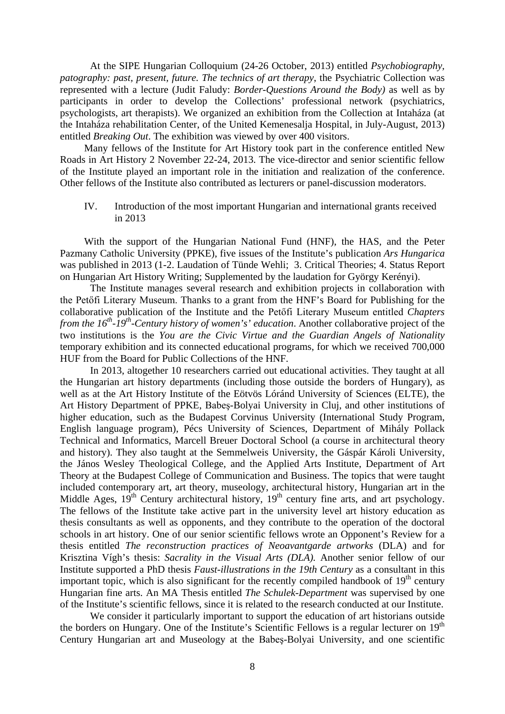At the SIPE Hungarian Colloquium (24-26 October, 2013) entitled *Psychobiography, patography: past, present, future. The technics of art therapy*, the Psychiatric Collection was represented with a lecture (Judit Faludy: *Border-Questions Around the Body)* as well as by participants in order to develop the Collections' professional network (psychiatrics, psychologists, art therapists). We organized an exhibition from the Collection at Intaháza (at the Intaháza rehabilitation Center, of the United Kemenesalja Hospital, in July-August, 2013) entitled *Breaking Out*. The exhibition was viewed by over 400 visitors.

Many fellows of the Institute for Art History took part in the conference entitled New Roads in Art History 2 November 22-24, 2013. The vice-director and senior scientific fellow of the Institute played an important role in the initiation and realization of the conference. Other fellows of the Institute also contributed as lecturers or panel-discussion moderators.

IV. Introduction of the most important Hungarian and international grants received in 2013

With the support of the Hungarian National Fund (HNF), the HAS, and the Peter Pazmany Catholic University (PPKE), five issues of the Institute's publication *Ars Hungarica* was published in 2013 (1-2. Laudation of Tünde Wehli; 3. Critical Theories; 4. Status Report on Hungarian Art History Writing; Supplemented by the laudation for György Kerényi).

The Institute manages several research and exhibition projects in collaboration with the Petőfi Literary Museum. Thanks to a grant from the HNF's Board for Publishing for the collaborative publication of the Institute and the Petőfi Literary Museum entitled *Chapters from the 16<sup>th</sup>-19<sup>th</sup>-Century history of women's' education*. Another collaborative project of the two institutions is the *You are the Civic Virtue and the Guardian Angels of Nationality* temporary exhibition and its connected educational programs, for which we received 700,000 HUF from the Board for Public Collections of the HNF.

In 2013, altogether 10 researchers carried out educational activities. They taught at all the Hungarian art history departments (including those outside the borders of Hungary), as well as at the Art History Institute of the Eötvös Lóránd University of Sciences (ELTE), the Art History Department of PPKE, Babeş-Bolyai University in Cluj, and other institutions of higher education, such as the Budapest Corvinus University (International Study Program, English language program), Pécs University of Sciences, Department of Mihály Pollack Technical and Informatics, Marcell Breuer Doctoral School (a course in architectural theory and history). They also taught at the Semmelweis University, the Gáspár Károli University, the János Wesley Theological College, and the Applied Arts Institute, Department of Art Theory at the Budapest College of Communication and Business. The topics that were taught included contemporary art, art theory, museology, architectural history, Hungarian art in the Middle Ages,  $19<sup>th</sup>$  Century architectural history,  $19<sup>th</sup>$  century fine arts, and art psychology. The fellows of the Institute take active part in the university level art history education as thesis consultants as well as opponents, and they contribute to the operation of the doctoral schools in art history. One of our senior scientific fellows wrote an Opponent's Review for a thesis entitled *The reconstruction practices of Neoavantgarde artworks* (DLA) and for Krisztina Vígh's thesis: *Sacrality in the Visual Arts (DLA).* Another senior fellow of our Institute supported a PhD thesis *Faust-illustrations in the 19th Century* as a consultant in this important topic, which is also significant for the recently compiled handbook of  $19<sup>th</sup>$  century Hungarian fine arts. An MA Thesis entitled *The Schulek-Department* was supervised by one of the Institute's scientific fellows, since it is related to the research conducted at our Institute.

We consider it particularly important to support the education of art historians outside the borders on Hungary. One of the Institute's Scientific Fellows is a regular lecturer on 19<sup>th</sup> Century Hungarian art and Museology at the Babeş-Bolyai University, and one scientific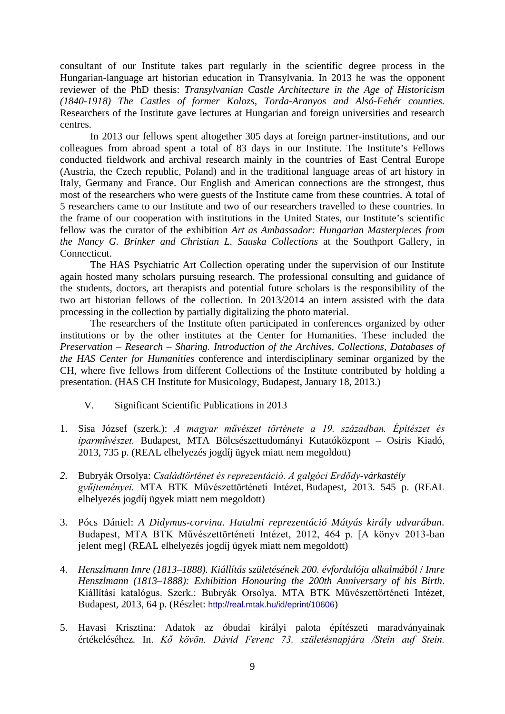consultant of our Institute takes part regularly in the scientific degree process in the Hungarian-language art historian education in Transylvania. In 2013 he was the opponent reviewer of the PhD thesis: *Transylvanian Castle Architecture in the Age of Historicism (1840-1918) The Castles of former Kolozs, Torda-Aranyos and Alsó-Fehér counties.* Researchers of the Institute gave lectures at Hungarian and foreign universities and research centres.

In 2013 our fellows spent altogether 305 days at foreign partner-institutions, and our colleagues from abroad spent a total of 83 days in our Institute. The Institute's Fellows conducted fieldwork and archival research mainly in the countries of East Central Europe (Austria, the Czech republic, Poland) and in the traditional language areas of art history in Italy, Germany and France. Our English and American connections are the strongest, thus most of the researchers who were guests of the Institute came from these countries. A total of 5 researchers came to our Institute and two of our researchers travelled to these countries. In the frame of our cooperation with institutions in the United States, our Institute's scientific fellow was the curator of the exhibition *Art as Ambassador: Hungarian Masterpieces from the Nancy G. Brinker and Christian L. Sauska Collections* at the Southport Gallery, in Connecticut.

The HAS Psychiatric Art Collection operating under the supervision of our Institute again hosted many scholars pursuing research. The professional consulting and guidance of the students, doctors, art therapists and potential future scholars is the responsibility of the two art historian fellows of the collection. In 2013/2014 an intern assisted with the data processing in the collection by partially digitalizing the photo material.

The researchers of the Institute often participated in conferences organized by other institutions or by the other institutes at the Center for Humanities. These included the *Preservation – Research – Sharing. Introduction of the Archives, Collections, Databases of the HAS Center for Humanities* conference and interdisciplinary seminar organized by the CH, where five fellows from different Collections of the Institute contributed by holding a presentation. (HAS CH Institute for Musicology, Budapest, January 18, 2013.)

- V. Significant Scientific Publications in 2013
- 1. Sisa József (szerk.): *A magyar művészet története a 19. században. Építészet és iparművészet.* Budapest, MTA Bölcsészettudományi Kutatóközpont – Osiris Kiadó, 2013, 735 p. (REAL elhelyezés jogdíj ügyek miatt nem megoldott)
- *2.* Bubryák Orsolya: *Családtörténet és reprezentáció. A galgóci Erdődy-várkastély gyűjteményei.* MTA BTK Művészettörténeti Intézet, Budapest, 2013. 545 p. (REAL elhelyezés jogdíj ügyek miatt nem megoldott)
- 3. Pócs Dániel: *A Didymus-corvina. Hatalmi reprezentáció Mátyás király udvarában.* Budapest, MTA BTK Művészettörténeti Intézet, 2012, 464 p. [A könyv 2013-ban jelent meg] (REAL elhelyezés jogdíj ügyek miatt nem megoldott)
- 4. *Henszlmann Imre (1813–1888). Kiállítás születésének 200. évfordulója alkalmából* / *Imre Henszlmann (1813–1888): Exhibition Honouring the 200th Anniversary of his Birth*. Kiállítási katalógus. Szerk.: Bubryák Orsolya. MTA BTK Művészettörténeti Intézet, Budapest, 2013, 64 p. (Részlet: <http://real.mtak.hu/id/eprint/10606>)
- 5. Havasi Krisztina: Adatok az óbudai királyi palota építészeti maradványainak értékeléséhez*.* In. *Kő kövön. Dávid Ferenc 73. születésnapjára /Stein auf Stein.*